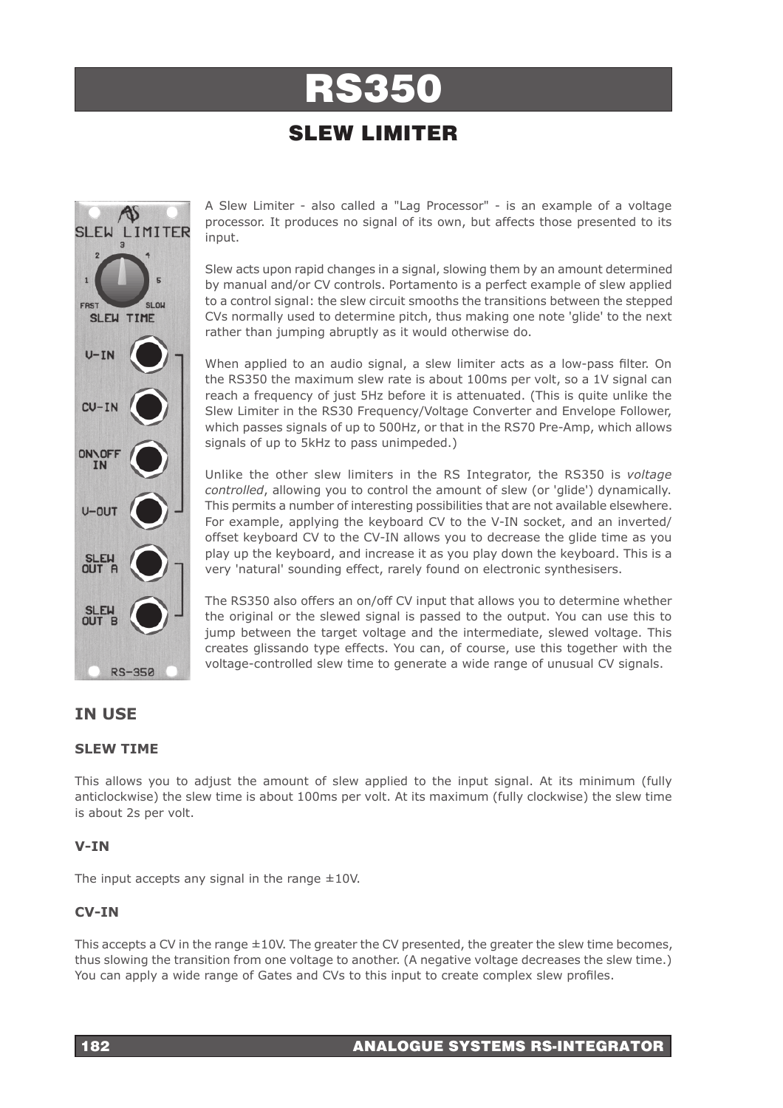# RS350

## SLEW LIMITER



A Slew Limiter - also called a "Lag Processor" - is an example of a voltage processor. It produces no signal of its own, but affects those presented to its input.

Slew acts upon rapid changes in a signal, slowing them by an amount determined by manual and/or CV controls. Portamento is a perfect example of slew applied to a control signal: the slew circuit smooths the transitions between the stepped CVs normally used to determine pitch, thus making one note 'glide' to the next rather than jumping abruptly as it would otherwise do.

When applied to an audio signal, a slew limiter acts as a low-pass filter. On the RS350 the maximum slew rate is about 100ms per volt, so a 1V signal can reach a frequency of just 5Hz before it is attenuated. (This is quite unlike the Slew Limiter in the RS30 Frequency/Voltage Converter and Envelope Follower, which passes signals of up to 500Hz, or that in the RS70 Pre-Amp, which allows signals of up to 5kHz to pass unimpeded.)

Unlike the other slew limiters in the RS Integrator, the RS350 is *voltage controlled*, allowing you to control the amount of slew (or 'glide') dynamically. This permits a number of interesting possibilities that are not available elsewhere. For example, applying the keyboard CV to the V-IN socket, and an inverted/ offset keyboard CV to the CV-IN allows you to decrease the glide time as you play up the keyboard, and increase it as you play down the keyboard. This is a very 'natural' sounding effect, rarely found on electronic synthesisers.

The RS350 also offers an on/off CV input that allows you to determine whether the original or the slewed signal is passed to the output. You can use this to jump between the target voltage and the intermediate, slewed voltage. This creates glissando type effects. You can, of course, use this together with the voltage-controlled slew time to generate a wide range of unusual CV signals.

### **IN USE**

#### **SLEW TIME**

This allows you to adjust the amount of slew applied to the input signal. At its minimum (fully anticlockwise) the slew time is about 100ms per volt. At its maximum (fully clockwise) the slew time is about 2s per volt.

#### **V-IN**

The input accepts any signal in the range  $\pm 10$ V.

#### **CV-IN**

This accepts a CV in the range  $\pm 10$ V. The greater the CV presented, the greater the slew time becomes, thus slowing the transition from one voltage to another. (A negative voltage decreases the slew time.) You can apply a wide range of Gates and CVs to this input to create complex slew profiles.